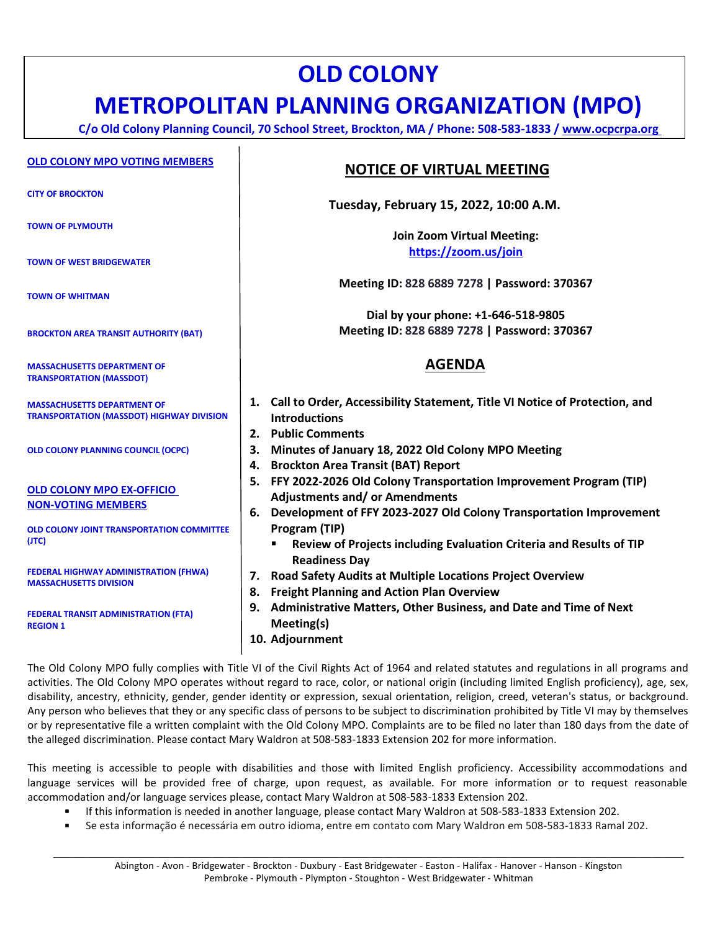# **OLD COLONY**

## **METROPOLITAN PLANNING ORGANIZATION (MPO)**

**C/o Old Colony Planning Council, 70 School Street, Brockton, MA / Phone: 508-583-1833 / [www.ocpcrpa.org](http://www.ocpcrpa.org/)**

#### **OLD COLONY MPO VOTING MEMBERS**

**CITY OF BROCKTON**

**TOWN OF PLYMOUTH**

**TOWN OF WEST BRIDGEWATER**

**TOWN OF WHITMAN**

**BROCKTON AREA TRANSIT AUTHORITY (BAT)**

**MASSACHUSETTS DEPARTMENT OF TRANSPORTATION (MASSDOT)**

**MASSACHUSETTS DEPARTMENT OF TRANSPORTATION (MASSDOT) HIGHWAY DIVISION**

**OLD COLONY PLANNING COUNCIL (OCPC)**

#### **OLD COLONY MPO EX-OFFICIO NON-VOTING MEMBERS**

**OLD COLONY JOINT TRANSPORTATION COMMITTEE (JTC)**

**FEDERAL HIGHWAY ADMINISTRATION (FHWA) MASSACHUSETTS DIVISION**

**FEDERAL TRANSIT ADMINISTRATION (FTA) REGION 1**

### **NOTICE OF VIRTUAL MEETING**

**Tuesday, February 15, 2022, 10:00 A.M.**

**Join Zoom Virtual Meeting: <https://zoom.us/join>**

**Meeting ID: 828 6889 7278 | Password: 370367**

**Dial by your phone: +1-646-518-9805 Meeting ID: 828 6889 7278 | Password: 370367**

## **AGENDA**

- **1. Call to Order, Accessibility Statement, Title VI Notice of Protection, and Introductions**
- **2. Public Comments**
- **3. Minutes of January 18, 2022 Old Colony MPO Meeting**
- **4. Brockton Area Transit (BAT) Report**
- **5. FFY 2022-2026 Old Colony Transportation Improvement Program (TIP) Adjustments and/ or Amendments**
- **6. Development of FFY 2023-2027 Old Colony Transportation Improvement Program (TIP)**
	- **Review of Projects including Evaluation Criteria and Results of TIP Readiness Day**
- **7. Road Safety Audits at Multiple Locations Project Overview**
- **8. Freight Planning and Action Plan Overview**
- **9. Administrative Matters, Other Business, and Date and Time of Next Meeting(s)**
- **10. Adjournment**

The Old Colony MPO fully complies with Title VI of the Civil Rights Act of 1964 and related statutes and regulations in all programs and activities. The Old Colony MPO operates without regard to race, color, or national origin (including limited English proficiency), age, sex, disability, ancestry, ethnicity, gender, gender identity or expression, sexual orientation, religion, creed, veteran's status, or background. Any person who believes that they or any specific class of persons to be subject to discrimination prohibited by Title VI may by themselves or by representative file a written complaint with the Old Colony MPO. Complaints are to be filed no later than 180 days from the date of the alleged discrimination. Please contact Mary Waldron at 508-583-1833 Extension 202 for more information.

This meeting is accessible to people with disabilities and those with limited English proficiency. Accessibility accommodations and language services will be provided free of charge, upon request, as available. For more information or to request reasonable accommodation and/or language services please, contact Mary Waldron at 508-583-1833 Extension 202.

- If this information is needed in another language, please contact Mary Waldron at 508-583-1833 Extension 202.
- Se esta informação é necessária em outro idioma, entre em contato com Mary Waldron em 508-583-1833 Ramal 202.